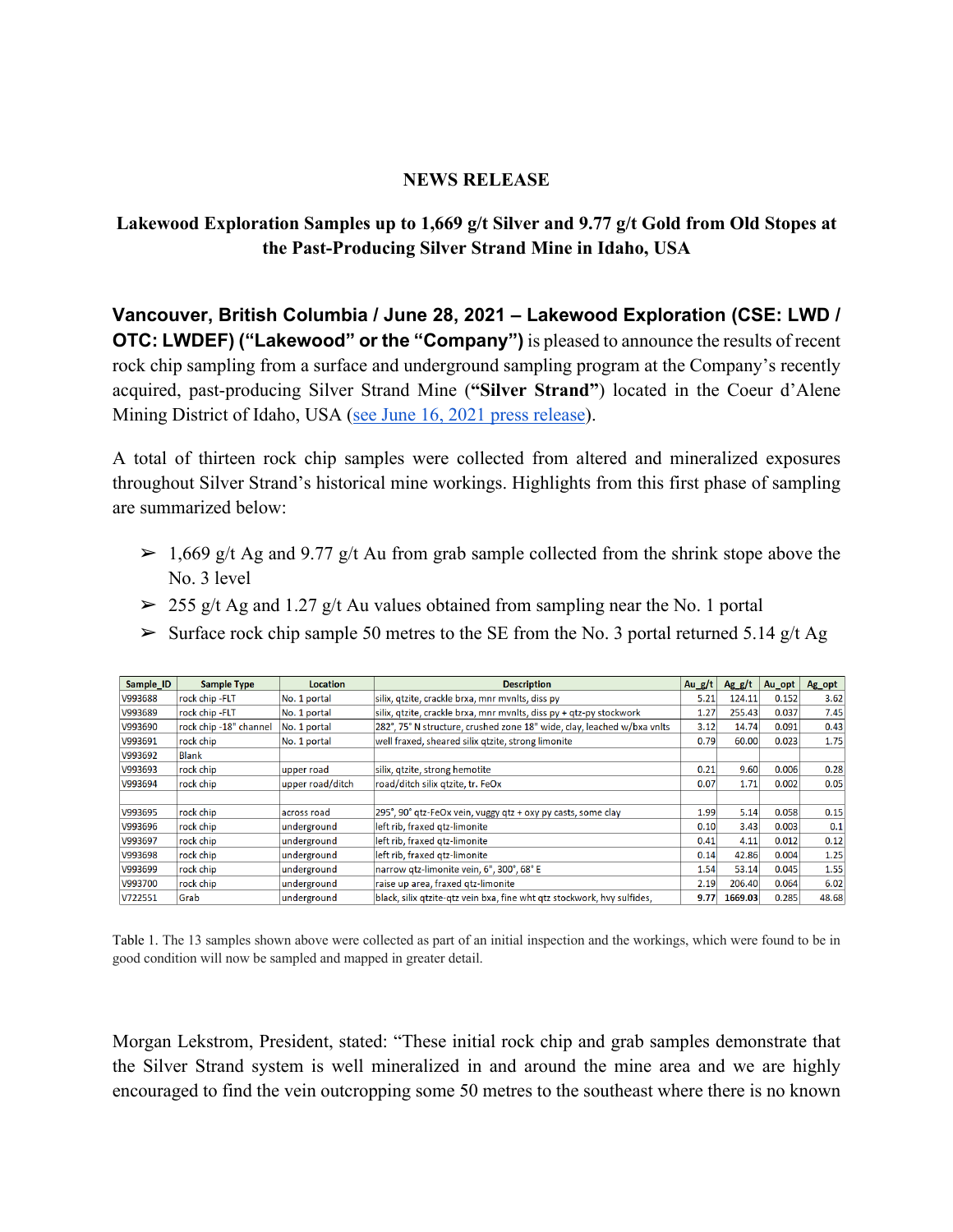### **NEWS RELEASE**

# **Lakewood Exploration Samples up to 1,669 g/t Silver and 9.77 g/t Gold from Old Stopes at the Past-Producing Silver Strand Mine in Idaho, USA**

**Vancouver, British Columbia / June 28, 2021 – Lakewood Exploration (CSE: LWD / OTC: LWDEF) ("Lakewood" or the "Company")** is pleased to announce the results of recent rock chip sampling from a surface and underground sampling program at the Company's recently acquired, past-producing Silver Strand Mine (**"Silver Strand"**) located in the Coeur d'Alene Mining District of Idaho, USA (see June 16, 2021 press release).

A total of thirteen rock chip samples were collected from altered and mineralized exposures throughout Silver Strand's historical mine workings. Highlights from this first phase of sampling are summarized below:

- $\geq 1,669$  g/t Ag and 9.77 g/t Au from grab sample collected from the shrink stope above the No. 3 level
- $\geq 255$  g/t Ag and 1.27 g/t Au values obtained from sampling near the No. 1 portal
- $\triangleright$  Surface rock chip sample 50 metres to the SE from the No. 3 portal returned 5.14 g/t Ag

| Sample ID | <b>Sample Type</b>     | <b>Location</b>  | <b>Description</b>                                                      | Au_g/t | $Ag_g/t$ | Au opt | Ag_opt |
|-----------|------------------------|------------------|-------------------------------------------------------------------------|--------|----------|--------|--------|
| V993688   | rock chip - FLT        | No. 1 portal     | silix, gtzite, crackle brxa, mnr mynlts, diss py                        | 5.21   | 124.11   | 0.152  | 3.62   |
| V993689   | rock chip - FLT        | No. 1 portal     | silix, gtzite, crackle brxa, mnr mvnlts, diss py + gtz-py stockwork     | 1.27   | 255.43   | 0.037  | 7.45   |
| V993690   | rock chip -18" channel | No. 1 portal     | 282°, 75° N structure, crushed zone 18" wide, clay, leached w/bxa vnlts | 3.12   | 14.74    | 0.091  | 0.43   |
| V993691   | rock chip              | No. 1 portal     | well fraxed, sheared silix qtzite, strong limonite                      | 0.79   | 60.00    | 0.023  | 1.75   |
| V993692   | <b>Blank</b>           |                  |                                                                         |        |          |        |        |
| V993693   | rock chip              | upper road       | silix, qtzite, strong hemotite                                          | 0.21   | 9.60     | 0.006  | 0.28   |
| V993694   | rock chip              | upper road/ditch | road/ditch silix qtzite, tr. FeOx                                       | 0.07   | 1.71     | 0.002  | 0.05   |
|           |                        |                  |                                                                         |        |          |        |        |
| V993695   | rock chip              | lacross road     | 295°, 90° qtz-FeOx vein, vuggy qtz + oxy py casts, some clay            | 1.99   | 5.14     | 0.058  | 0.15   |
| V993696   | rock chip              | underground      | left rib, fraxed gtz-limonite                                           | 0.10   | 3.43     | 0.003  | 0.1    |
| V993697   | rock chip              | lunderground     | left rib, fraxed qtz-limonite                                           | 0.41   | 4.11     | 0.012  | 0.12   |
| V993698   | rock chip              | underground      | left rib, fraxed gtz-limonite                                           | 0.14   | 42.86    | 0.004  | 1.25   |
| V993699   | rock chip              | lunderground     | narrow qtz-limonite vein, 6", 300°, 68° E                               | 1.54   | 53.14    | 0.045  | 1.55   |
| V993700   | rock chip              | underground      | raise up area, fraxed gtz-limonite                                      | 2.19   | 206.40   | 0.064  | 6.02   |
| V722551   | Grab                   | underground      | black, silix qtzite-qtz vein bxa, fine wht qtz stockwork, hvy sulfides, | 9.77   | 1669.03  | 0.285  | 48.68  |

Table 1. The 13 samples shown above were collected as part of an initial inspection and the workings, which were found to be in good condition will now be sampled and mapped in greater detail.

Morgan Lekstrom, President, stated: "These initial rock chip and grab samples demonstrate that the Silver Strand system is well mineralized in and around the mine area and we are highly encouraged to find the vein outcropping some 50 metres to the southeast where there is no known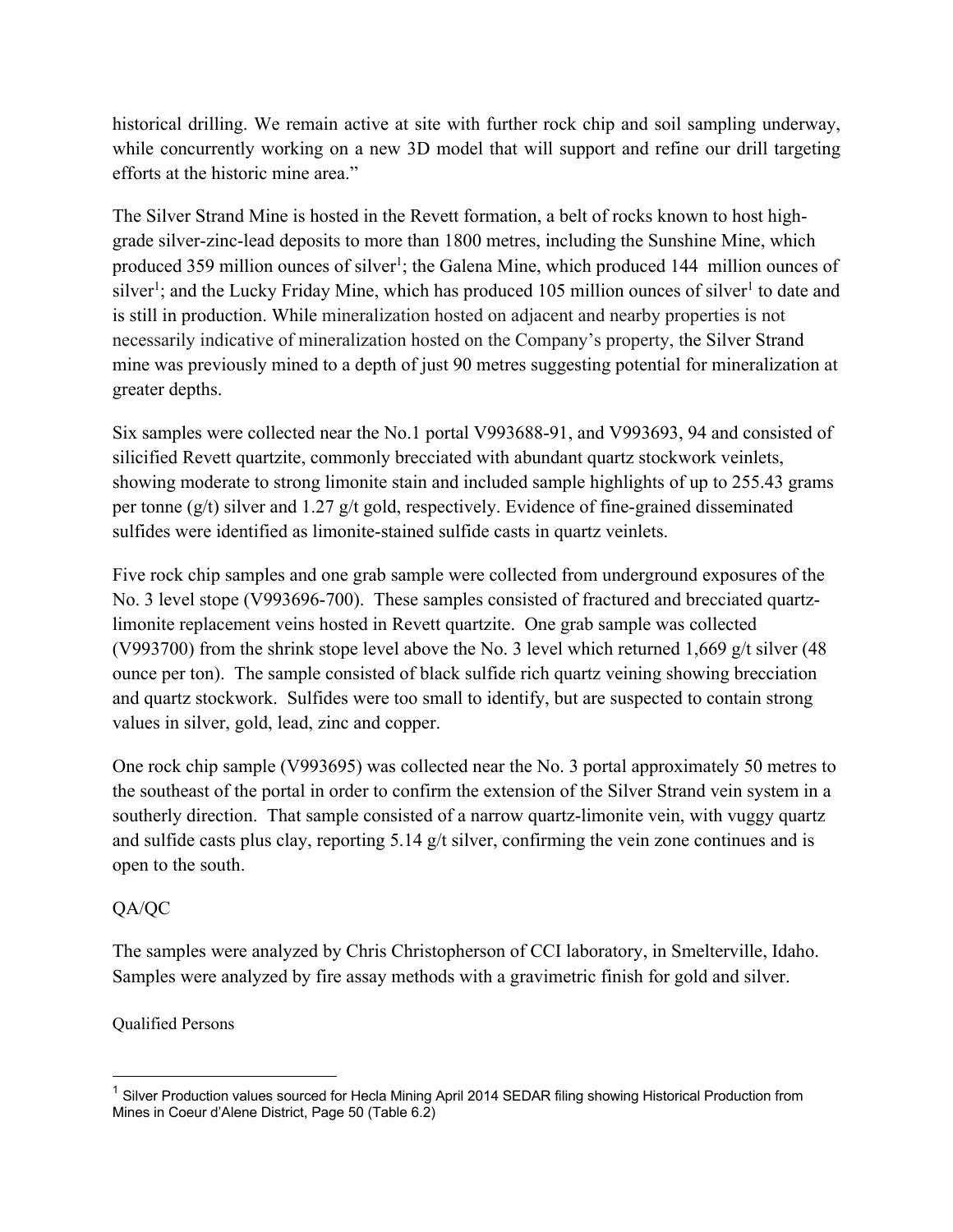historical drilling. We remain active at site with further rock chip and soil sampling underway, while concurrently working on a new 3D model that will support and refine our drill targeting efforts at the historic mine area."

The Silver Strand Mine is hosted in the Revett formation, a belt of rocks known to host highgrade silver-zinc-lead deposits to more than 1800 metres, including the Sunshine Mine, which produced 359 million ounces of silver<sup>1</sup>; the Galena Mine, which produced 144 million ounces of silver<sup>1</sup>; and the Lucky Friday Mine, which has produced 105 million ounces of silver<sup>1</sup> to date and is still in production. While mineralization hosted on adjacent and nearby properties is not necessarily indicative of mineralization hosted on the Company's property, the Silver Strand mine was previously mined to a depth of just 90 metres suggesting potential for mineralization at greater depths.

Six samples were collected near the No.1 portal V993688-91, and V993693, 94 and consisted of silicified Revett quartzite, commonly brecciated with abundant quartz stockwork veinlets, showing moderate to strong limonite stain and included sample highlights of up to 255.43 grams per tonne (g/t) silver and 1.27 g/t gold, respectively. Evidence of fine-grained disseminated sulfides were identified as limonite-stained sulfide casts in quartz veinlets.

Five rock chip samples and one grab sample were collected from underground exposures of the No. 3 level stope (V993696-700). These samples consisted of fractured and brecciated quartzlimonite replacement veins hosted in Revett quartzite. One grab sample was collected (V993700) from the shrink stope level above the No. 3 level which returned 1,669 g/t silver (48 ounce per ton). The sample consisted of black sulfide rich quartz veining showing brecciation and quartz stockwork. Sulfides were too small to identify, but are suspected to contain strong values in silver, gold, lead, zinc and copper.

One rock chip sample (V993695) was collected near the No. 3 portal approximately 50 metres to the southeast of the portal in order to confirm the extension of the Silver Strand vein system in a southerly direction. That sample consisted of a narrow quartz-limonite vein, with vuggy quartz and sulfide casts plus clay, reporting 5.14 g/t silver, confirming the vein zone continues and is open to the south.

## QA/QC

The samples were analyzed by Chris Christopherson of CCI laboratory, in Smelterville, Idaho. Samples were analyzed by fire assay methods with a gravimetric finish for gold and silver.

Qualified Persons

<sup>&</sup>lt;sup>1</sup> Silver Production values sourced for Hecla Mining April 2014 SEDAR filing showing Historical Production from Mines in Coeur d'Alene District, Page 50 (Table 6.2)